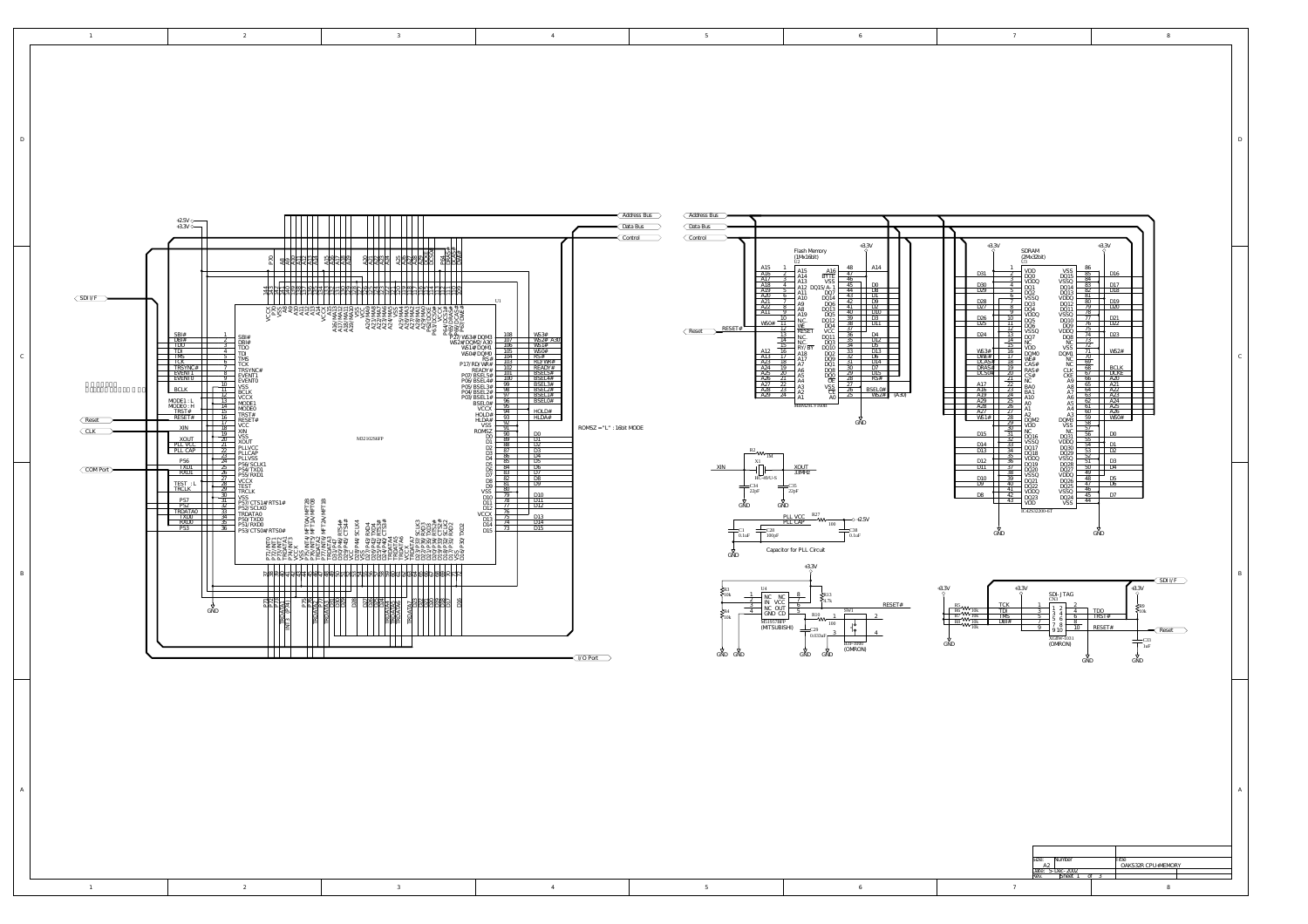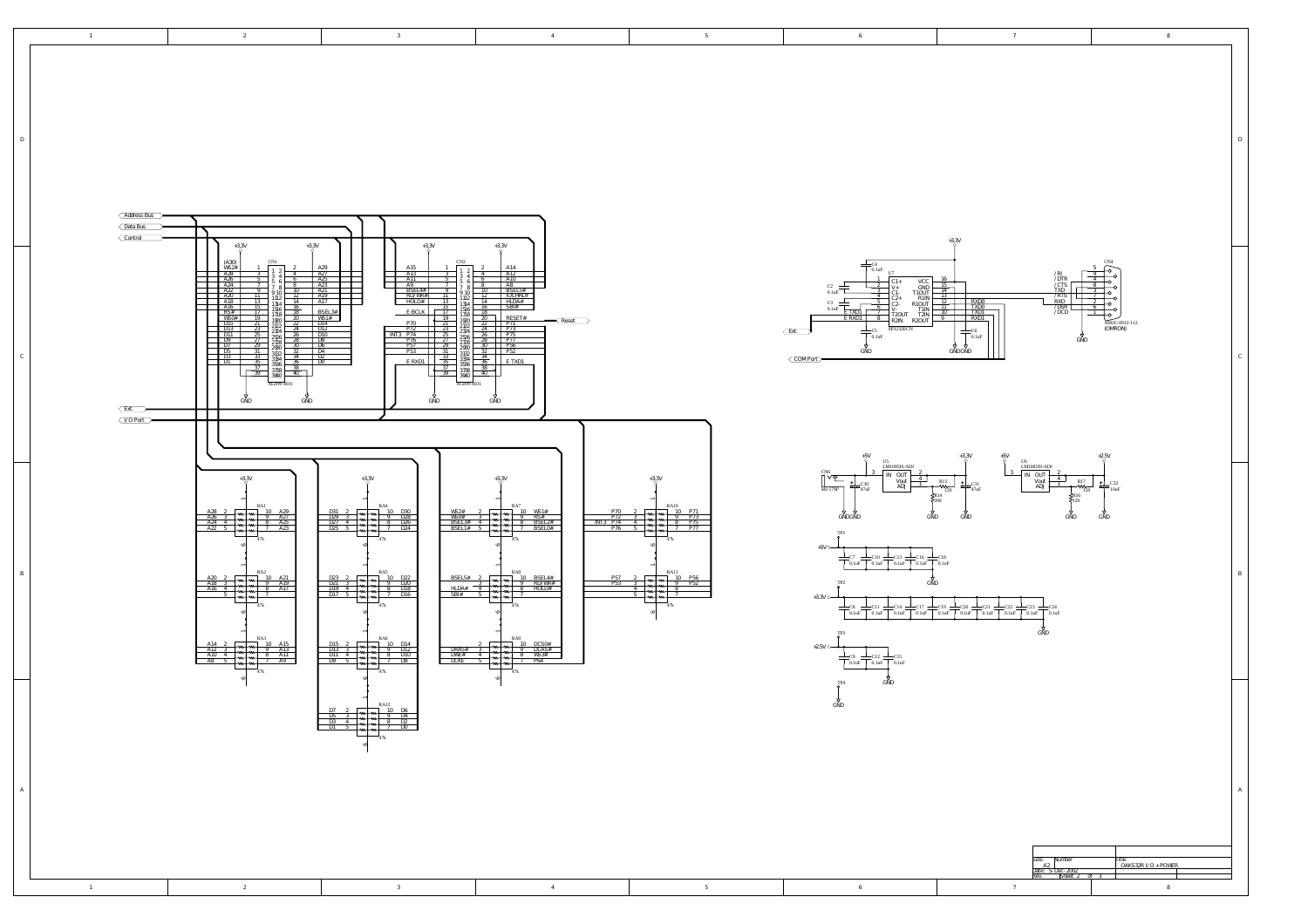